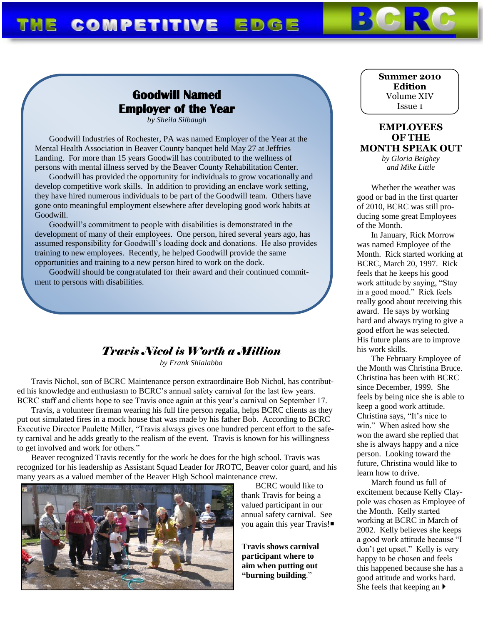# THE COMPETITIVE EDGE

# **Goodwill Named Employer of the Year**

*by Sheila Silbaugh*

Goodwill Industries of Rochester, PA was named Employer of the Year at the Mental Health Association in Beaver County banquet held May 27 at Jeffries Landing. For more than 15 years Goodwill has contributed to the wellness of persons with mental illness served by the Beaver County Rehabilitation Center.

Goodwill has provided the opportunity for individuals to grow vocationally and develop competitive work skills. In addition to providing an enclave work setting, they have hired numerous individuals to be part of the Goodwill team. Others have gone onto meaningful employment elsewhere after developing good work habits at Goodwill.

Goodwill's commitment to people with disabilities is demonstrated in the development of many of their employees. One person, hired several years ago, has assumed responsibility for Goodwill's loading dock and donations. He also provides training to new employees. Recently, he helped Goodwill provide the same opportunities and training to a new person hired to work on the dock.

Goodwill should be congratulated for their award and their continued commitment to persons with disabilities.

## *Travis Nicol is Worth a Million*

*by Frank Shialabba*

Travis Nichol, son of BCRC Maintenance person extraordinaire Bob Nichol, has contributed his knowledge and enthusiasm to BCRC's annual safety carnival for the last few years. BCRC staff and clients hope to see Travis once again at this year's carnival on September 17.

Travis, a volunteer fireman wearing his full fire person regalia, helps BCRC clients as they put out simulated fires in a mock house that was made by his father Bob. According to BCRC Executive Director Paulette Miller, "Travis always gives one hundred percent effort to the safety carnival and he adds greatly to the realism of the event. Travis is known for his willingness to get involved and work for others."

Beaver recognized Travis recently for the work he does for the high school. Travis was recognized for his leadership as Assistant Squad Leader for JROTC, Beaver color guard, and his many years as a valued member of the Beaver High School maintenance crew.



BCRC would like to thank Travis for being a valued participant in our annual safety carnival. See you again this year Travis!

**Travis shows carnival participant where to aim when putting out "burning building**."

#### **Summer 2010 Edition** Volume XIV Issue 1

### **EMPLOYEES OF THE MONTH SPEAK OUT**

*by Gloria Beighey and Mike Little*

Whether the weather was good or bad in the first quarter of 2010, BCRC was still producing some great Employees of the Month.

In January, Rick Morrow was named Employee of the Month. Rick started working at BCRC, March 20, 1997. Rick feels that he keeps his good work attitude by saying, "Stay in a good mood." Rick feels really good about receiving this award. He says by working hard and always trying to give a good effort he was selected. His future plans are to improve his work skills.

The February Employee of the Month was Christina Bruce. Christina has been with BCRC since December, 1999. She feels by being nice she is able to keep a good work attitude. Christina says, "It's nice to win." When asked how she won the award she replied that she is always happy and a nice person. Looking toward the future, Christina would like to learn how to drive.

March found us full of excitement because Kelly Claypole was chosen as Employee of the Month. Kelly started working at BCRC in March of 2002. Kelly believes she keeps a good work attitude because "I don't get upset." Kelly is very happy to be chosen and feels this happened because she has a good attitude and works hard. She feels that keeping an  $\blacktriangleright$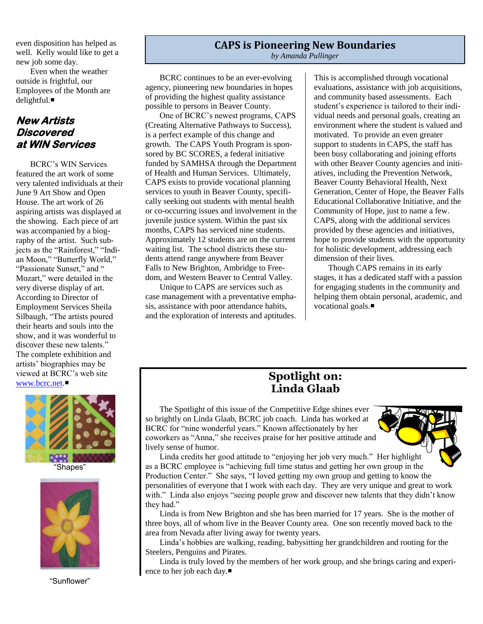even disposition has helped as well. Kelly would like to get a new job some day.

Even when the weather outside is frightful, our Employees of the Month are delightful.

### **New Artists Discovered at WIN Services**

BCRC's WIN Services featured the art work of some very talented individuals at their June 9 Art Show and Open House. The art work of 26 aspiring artists was displayed at the showing. Each piece of art was accompanied by a biography of the artist. Such subjects as the "Rainforest," "Indian Moon," "Butterfly World," "Passionate Sunset," and " Mozart," were detailed in the very diverse display of art. According to Director of Employment Services Sheila Silbaugh, "The artists poured their hearts and souls into the show, and it was wonderful to discover these new talents." The complete exhibition and artists' biographies may be viewed at BCRC's web site [www.bcrc.net.](http://www.bcrc.net/)







"Sunflower"

### **CAPS is Pioneering New Boundaries** *by Amanda Pullinger*

BCRC continues to be an ever-evolving agency, pioneering new boundaries in hopes of providing the highest quality assistance possible to persons in Beaver County.

One of BCRC's newest programs, CAPS (Creating Alternative Pathways to Success), is a perfect example of this change and growth. The CAPS Youth Program is sponsored by BC SCORES, a federal initiative funded by SAMHSA through the Department of Health and Human Services. Ultimately, CAPS exists to provide vocational planning services to youth in Beaver County, specifically seeking out students with mental health or co-occurring issues and involvement in the juvenile justice system. Within the past six months, CAPS has serviced nine students. Approximately 12 students are on the current waiting list. The school districts these students attend range anywhere from Beaver Falls to New Brighton, Ambridge to Freedom, and Western Beaver to Central Valley.

Unique to CAPS are services such as case management with a preventative emphasis, assistance with poor attendance habits, and the exploration of interests and aptitudes.

This is accomplished through vocational evaluations, assistance with job acquisitions, and community based assessments. Each student's experience is tailored to their individual needs and personal goals, creating an environment where the student is valued and motivated. To provide an even greater support to students in CAPS, the staff has been busy collaborating and joining efforts with other Beaver County agencies and initiatives, including the Prevention Network, Beaver County Behavioral Health, Next Generation, Center of Hope, the Beaver Falls Educational Collaborative Initiative, and the Community of Hope, just to name a few. CAPS, along with the additional services provided by these agencies and initiatives, hope to provide students with the opportunity for holistic development, addressing each dimension of their lives.

Though CAPS remains in its early stages, it has a dedicated staff with a passion for engaging students in the community and helping them obtain personal, academic, and vocational goals.

# **Spotlight on: Linda Glaab**

The Spotlight of this issue of the Competitive Edge shines ever so brightly on Linda Glaab, BCRC job coach. Linda has worked at BCRC for "nine wonderful years." Known affectionately by her coworkers as "Anna," she receives praise for her positive attitude and lively sense of humor.



Linda credits her good attitude to "enjoying her job very much." Her highlight as a BCRC employee is "achieving full time status and getting her own group in the Production Center." She says, "I loved getting my own group and getting to know the personalities of everyone that I work with each day. They are very unique and great to work with." Linda also enjoys "seeing people grow and discover new talents that they didn't know they had."

Linda is from New Brighton and she has been married for 17 years. She is the mother of three boys, all of whom live in the Beaver County area. One son recently moved back to the area from Nevada after living away for twenty years.

Linda's hobbies are walking, reading, babysitting her grandchildren and rooting for the Steelers, Penguins and Pirates.

Linda is truly loved by the members of her work group, and she brings caring and experience to her job each day.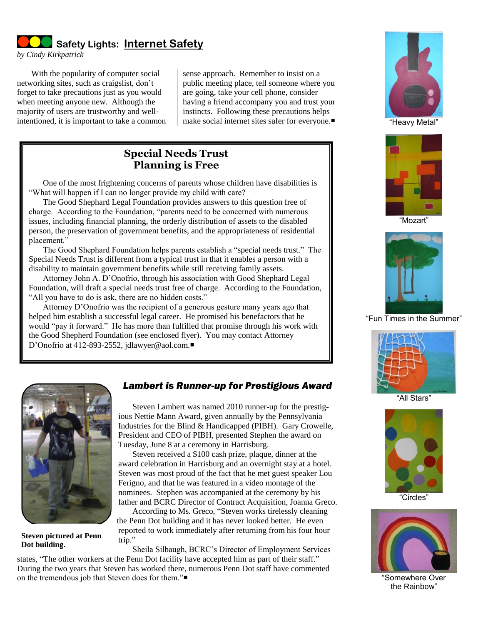**Safety Lights: Internet Safety**

*by Cindy Kirkpatrick*

With the popularity of computer social networking sites, such as craigslist, don't forget to take precautions just as you would when meeting anyone new. Although the majority of users are trustworthy and wellintentioned, it is important to take a common

sense approach. Remember to insist on a public meeting place, tell someone where you are going, take your cell phone, consider having a friend accompany you and trust your instincts. Following these precautions helps make social internet sites safer for everyone.

## **Special Needs Trust Planning is Free**

One of the most frightening concerns of parents whose children have disabilities is "What will happen if I can no longer provide my child with care?

The Good Shephard Legal Foundation provides answers to this question free of charge. According to the Foundation, "parents need to be concerned with numerous issues, including financial planning, the orderly distribution of assets to the disabled person, the preservation of government benefits, and the appropriateness of residential placement."

The Good Shephard Foundation helps parents establish a "special needs trust." The Special Needs Trust is different from a typical trust in that it enables a person with a disability to maintain government benefits while still receiving family assets.

Attorney John A. D'Onofrio, through his association with Good Shephard Legal Foundation, will draft a special needs trust free of charge. According to the Foundation, "All you have to do is ask, there are no hidden costs."

Attorney D'Onofrio was the recipient of a generous gesture many years ago that helped him establish a successful legal career. He promised his benefactors that he would "pay it forward." He has more than fulfilled that promise through his work with the Good Shepherd Foundation (see enclosed flyer). You may contact Attorney D'Onofrio at 412-893-2552, jdlawyer@aol.com.■







"Mozart"



"Fun Times in the Summer"



"All Stars"



"Circles"



"Somewhere Over the Rainbow"



**Steven pictured at Penn Dot building.**

### *Lambert is Runner-up for Prestigious Award*

Steven Lambert was named 2010 runner-up for the prestigious Nettie Mann Award, given annually by the Pennsylvania Industries for the Blind & Handicapped (PIBH). Gary Crowelle, President and CEO of PIBH, presented Stephen the award on Tuesday, June 8 at a ceremony in Harrisburg.

Steven received a \$100 cash prize, plaque, dinner at the award celebration in Harrisburg and an overnight stay at a hotel. Steven was most proud of the fact that he met guest speaker Lou Ferigno, and that he was featured in a video montage of the nominees. Stephen was accompanied at the ceremony by his father and BCRC Director of Contract Acquisition, Joanna Greco.

According to Ms. Greco, "Steven works tirelessly cleaning the Penn Dot building and it has never looked better. He even reported to work immediately after returning from his four hour trip."

Sheila Silbaugh, BCRC's Director of Employment Services states, "The other workers at the Penn Dot facility have accepted him as part of their staff." During the two years that Steven has worked there, numerous Penn Dot staff have commented on the tremendous job that Steven does for them."